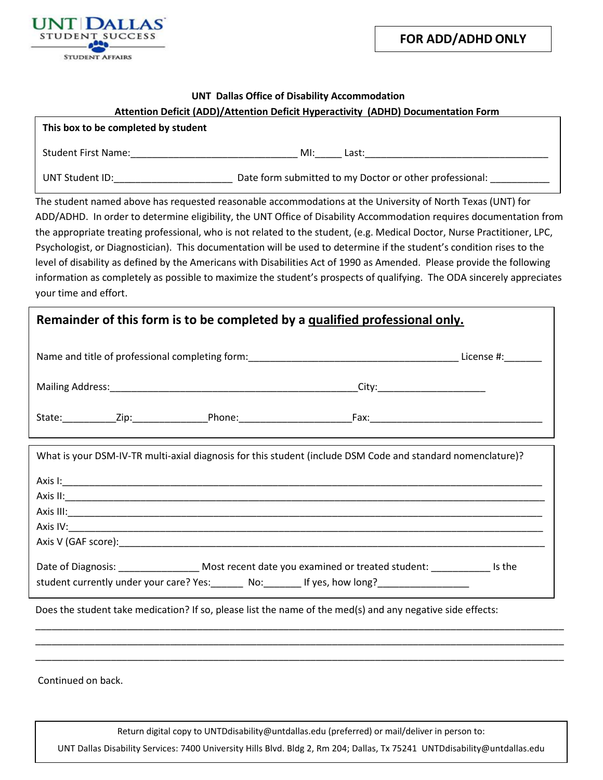

**FOR ADD/ADHD ONLY**

## **UNT Dallas Office of Disability Accommodation**

## **Attention Deficit (ADD)/Attention Deficit Hyperactivity (ADHD) Documentation Form**

| This box to be completed by student |                                                         |
|-------------------------------------|---------------------------------------------------------|
| <b>Student First Name:</b>          | MI:<br>Last:                                            |
| UNT Student ID:                     | Date form submitted to my Doctor or other professional: |

The student named above has requested reasonable accommodations at the University of North Texas (UNT) for ADD/ADHD. In order to determine eligibility, the UNT Office of Disability Accommodation requires documentation from the appropriate treating professional, who is not related to the student, (e.g. Medical Doctor, Nurse Practitioner, LPC, Psychologist, or Diagnostician). This documentation will be used to determine if the student's condition rises to the level of disability as defined by the Americans with Disabilities Act of 1990 as Amended. Please provide the following information as completely as possible to maximize the student's prospects of qualifying. The ODA sincerely appreciates your time and effort.

## **Remainder of this form is to be completed by a qualified professional only.**

| Name and title of professional completing form: |      |        | License #: |  |
|-------------------------------------------------|------|--------|------------|--|
| <b>Mailing Address:</b>                         |      |        | City:      |  |
| State:                                          | Zip: | Phone: | Fax:       |  |

| What is your DSM-IV-TR multi-axial diagnosis for this student (include DSM Code and standard nomenclature)? |                                                                                                                                                                              |  |  |  |
|-------------------------------------------------------------------------------------------------------------|------------------------------------------------------------------------------------------------------------------------------------------------------------------------------|--|--|--|
|                                                                                                             |                                                                                                                                                                              |  |  |  |
|                                                                                                             |                                                                                                                                                                              |  |  |  |
|                                                                                                             |                                                                                                                                                                              |  |  |  |
|                                                                                                             |                                                                                                                                                                              |  |  |  |
|                                                                                                             |                                                                                                                                                                              |  |  |  |
|                                                                                                             | Date of Diagnosis: Most recent date you examined or treated student: Is the<br>student currently under your care? Yes: ______ No: ______ If yes, how long? _________________ |  |  |  |

Does the student take medication? If so, please list the name of the med(s) and any negative side effects:

Continued on back.

Return digital copy to UN[TDdisability@untda](mailto:odadoc@unt.edu)llas.edu (preferred) or mail/deliver in person to:

UNT Dallas Disability Services: 7400 University Hills Blvd. Bldg 2, Rm 204; Dallas, Tx 75241 UNTDdisability@untdallas.edu

\_\_\_\_\_\_\_\_\_\_\_\_\_\_\_\_\_\_\_\_\_\_\_\_\_\_\_\_\_\_\_\_\_\_\_\_\_\_\_\_\_\_\_\_\_\_\_\_\_\_\_\_\_\_\_\_\_\_\_\_\_\_\_\_\_\_\_\_\_\_\_\_\_\_\_\_\_\_\_\_\_\_\_\_\_\_\_\_\_\_\_\_\_\_\_\_\_\_ \_\_\_\_\_\_\_\_\_\_\_\_\_\_\_\_\_\_\_\_\_\_\_\_\_\_\_\_\_\_\_\_\_\_\_\_\_\_\_\_\_\_\_\_\_\_\_\_\_\_\_\_\_\_\_\_\_\_\_\_\_\_\_\_\_\_\_\_\_\_\_\_\_\_\_\_\_\_\_\_\_\_\_\_\_\_\_\_\_\_\_\_\_\_\_\_\_\_ \_\_\_\_\_\_\_\_\_\_\_\_\_\_\_\_\_\_\_\_\_\_\_\_\_\_\_\_\_\_\_\_\_\_\_\_\_\_\_\_\_\_\_\_\_\_\_\_\_\_\_\_\_\_\_\_\_\_\_\_\_\_\_\_\_\_\_\_\_\_\_\_\_\_\_\_\_\_\_\_\_\_\_\_\_\_\_\_\_\_\_\_\_\_\_\_\_\_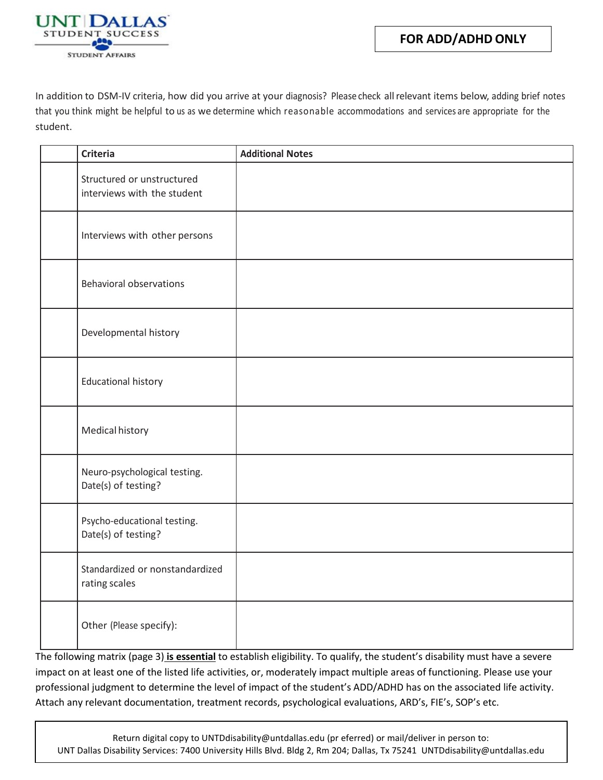

In addition to DSM-IV criteria, how did you arrive at your diagnosis? Please check allrelevant items below, adding brief notes that you think might be helpful to us as we determine which reasonable accommodations and services are appropriate for the student.

| <b>Criteria</b>                                           | <b>Additional Notes</b> |
|-----------------------------------------------------------|-------------------------|
| Structured or unstructured<br>interviews with the student |                         |
| Interviews with other persons                             |                         |
| <b>Behavioral observations</b>                            |                         |
| Developmental history                                     |                         |
| <b>Educational history</b>                                |                         |
| Medical history                                           |                         |
| Neuro-psychological testing.<br>Date(s) of testing?       |                         |
| Psycho-educational testing.<br>Date(s) of testing?        |                         |
| Standardized or nonstandardized<br>rating scales          |                         |
| Other (Please specify):                                   |                         |

The following matrix (page 3) **is essential** to establish eligibility. To qualify, the student's disability must have a severe impact on at least one of the listed life activities, or, moderately impact multiple areas of functioning. Please use your professional judgment to determine the level of impact of the student's ADD/ADHD has on the associated life activity. Attach any relevant documentation, treatment records, psychological evaluations, ARD's, FIE's, SOP's etc.

Return digital copy to UNT[Ddisability@untda](mailto:odadoc@unt.edu)llas.edu (pr eferred) or mail/deliver in person to: UNT Dallas Disability Services: 7400 University Hills Blvd. Bldg 2, Rm 204; Dallas, Tx 75241 UNTDdisability@untdallas.edu